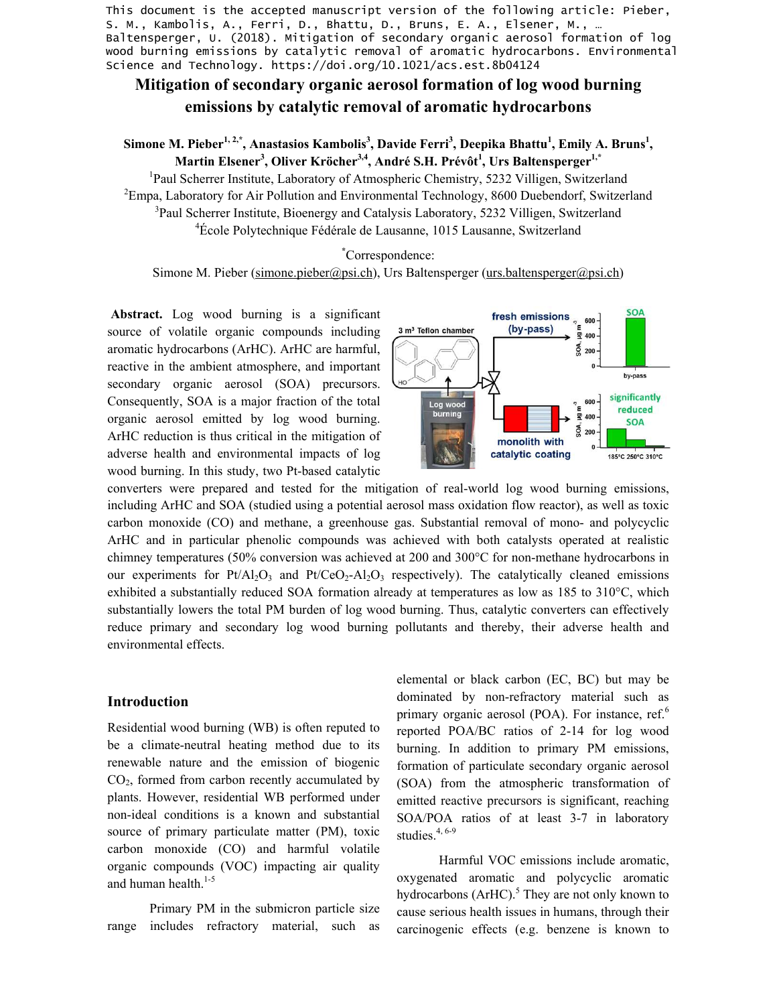This document is the accepted manuscript version of the following article: Pieber, S. M., Kambolis, A., Ferri, D., Bhattu, D., Bruns, E. A., Elsener, M., … Baltensperger, U. (2018). Mitigation of secondary organic aerosol formation of log wood burning emissions by catalytic removal of aromatic hydrocarbons. Environmental Science and Technology. https://doi.org/10.1021/acs.est.8b04124

# **Mitigation of secondary organic aerosol formation of log wood burning emissions by catalytic removal of aromatic hydrocarbons**

**Simone M. Pieber1, 2,\*, Anastasios Kambolis<sup>3</sup> , Davide Ferri<sup>3</sup> , Deepika Bhattu<sup>1</sup> , Emily A. Bruns<sup>1</sup> , Martin Elsener<sup>3</sup> , Oliver Kröcher3,4, André S.H. Prévôt<sup>1</sup> , Urs Baltensperger1,\*** 

<sup>1</sup>Paul Scherrer Institute, Laboratory of Atmospheric Chemistry, 5232 Villigen, Switzerland <sup>2</sup>Empa, Laboratory for Air Pollution and Environmental Technology, 8600 Duebendorf, Switzerland <sup>3</sup>Paul Scherrer Institute, Bioenergy and Catalysis Laboratory, 5232 Villigen, Switzerland <sup>4</sup>École Polytechnique Fédérale de Lausanne, 1015 Lausanne, Switzerland

**\***Correspondence:

Simone M. Pieber (simone.pieber@psi.ch), Urs Baltensperger (urs.baltensperger@psi.ch)

 **Abstract.** Log wood burning is a significant source of volatile organic compounds including aromatic hydrocarbons (ArHC). ArHC are harmful, reactive in the ambient atmosphere, and important secondary organic aerosol (SOA) precursors. Consequently, SOA is a major fraction of the total organic aerosol emitted by log wood burning. ArHC reduction is thus critical in the mitigation of adverse health and environmental impacts of log wood burning. In this study, two Pt-based catalytic



converters were prepared and tested for the mitigation of real-world log wood burning emissions, including ArHC and SOA (studied using a potential aerosol mass oxidation flow reactor), as well as toxic carbon monoxide (CO) and methane, a greenhouse gas. Substantial removal of mono- and polycyclic ArHC and in particular phenolic compounds was achieved with both catalysts operated at realistic chimney temperatures (50% conversion was achieved at 200 and 300°C for non-methane hydrocarbons in our experiments for  $Pt/Al_2O_3$  and  $Pt/CeO_2-Al_2O_3$  respectively). The catalytically cleaned emissions exhibited a substantially reduced SOA formation already at temperatures as low as 185 to 310°C, which substantially lowers the total PM burden of log wood burning. Thus, catalytic converters can effectively reduce primary and secondary log wood burning pollutants and thereby, their adverse health and environmental effects.

#### **Introduction**

Residential wood burning (WB) is often reputed to be a climate-neutral heating method due to its renewable nature and the emission of biogenic CO2, formed from carbon recently accumulated by plants. However, residential WB performed under non-ideal conditions is a known and substantial source of primary particulate matter (PM), toxic carbon monoxide (CO) and harmful volatile organic compounds (VOC) impacting air quality and human health.<sup>1-5</sup>

Primary PM in the submicron particle size range includes refractory material, such as elemental or black carbon (EC, BC) but may be dominated by non-refractory material such as primary organic aerosol (POA). For instance, ref.<sup>6</sup> reported POA/BC ratios of 2-14 for log wood burning. In addition to primary PM emissions, formation of particulate secondary organic aerosol (SOA) from the atmospheric transformation of emitted reactive precursors is significant, reaching SOA/POA ratios of at least 3-7 in laboratory studies. $4, 6-9$ 

Harmful VOC emissions include aromatic, oxygenated aromatic and polycyclic aromatic hydrocarbons (ArHC).<sup>5</sup> They are not only known to cause serious health issues in humans, through their carcinogenic effects (e.g. benzene is known to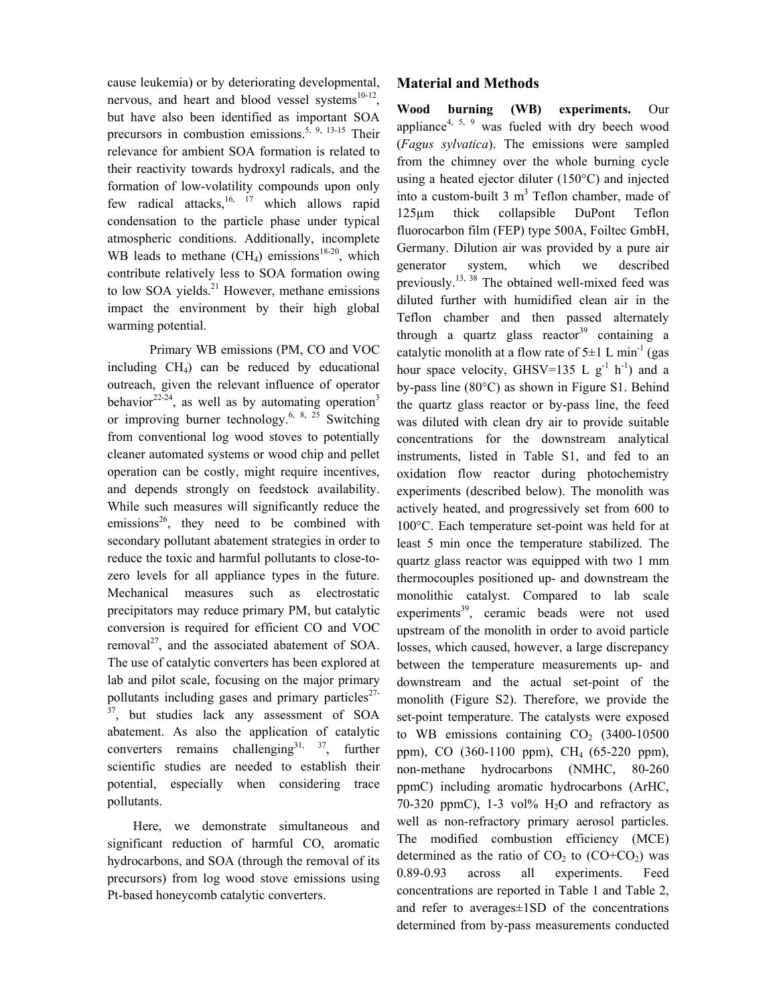cause leukemia) or by deteriorating developmental, nervous, and heart and blood vessel systems $^{10-12}$ , but have also been identified as important SOA precursors in combustion emissions.<sup>5, 9, 13-15</sup> Their relevance for ambient SOA formation is related to their reactivity towards hydroxyl radicals, and the formation of low-volatility compounds upon only few radical attacks,  $16$ ,  $17$  which allows rapid condensation to the particle phase under typical atmospheric conditions. Additionally, incomplete WB leads to methane  $(CH<sub>4</sub>)$  emissions<sup>18-20</sup>, which contribute relatively less to SOA formation owing to low SOA yields. $^{21}$  However, methane emissions impact the environment by their high global warming potential.

Primary WB emissions (PM, CO and VOC including  $CH<sub>4</sub>$  can be reduced by educational outreach, given the relevant influence of operator behavior<sup>22-24</sup>, as well as by automating operation<sup>3</sup> or improving burner technology.<sup>6, 8, 25</sup> Switching from conventional log wood stoves to potentially cleaner automated systems or wood chip and pellet operation can be costly, might require incentives, and depends strongly on feedstock availability. While such measures will significantly reduce the  $emissions<sup>26</sup>$ , they need to be combined with secondary pollutant abatement strategies in order to reduce the toxic and harmful pollutants to close-tozero levels for all appliance types in the future. Mechanical measures such as electrostatic precipitators may reduce primary PM, but catalytic conversion is required for efficient CO and VOC removal<sup>27</sup>, and the associated abatement of SOA. The use of catalytic converters has been explored at lab and pilot scale, focusing on the major primary pollutants including gases and primary particles $27$ - $37$ , but studies lack any assessment of SOA abatement. As also the application of catalytic converters remains challenging  $31, 37,$  further scientific studies are needed to establish their potential, especially when considering trace pollutants.

Here, we demonstrate simultaneous and significant reduction of harmful CO, aromatic hydrocarbons, and SOA (through the removal of its precursors) from log wood stove emissions using Pt-based honeycomb catalytic converters.

### **Material and Methods**

**Wood burning (WB) experiments.** Our appliance<sup>4, 5, 9</sup> was fueled with dry beech wood (*Fagus sylvatica*). The emissions were sampled from the chimney over the whole burning cycle using a heated ejector diluter (150°C) and injected into a custom-built  $3 \text{ m}^3$  Teflon chamber, made of 125µm thick collapsible DuPont Teflon fluorocarbon film (FEP) type 500A, Foiltec GmbH, Germany. Dilution air was provided by a pure air generator system, which we described previously.13, 38 The obtained well-mixed feed was diluted further with humidified clean air in the Teflon chamber and then passed alternately through a quartz glass reactor<sup>39</sup> containing a catalytic monolith at a flow rate of  $5\pm1$  L min<sup>-1</sup> (gas) hour space velocity, GHSV=135 L  $g^{-1}$  h<sup>-1</sup>) and a by-pass line (80°C) as shown in Figure S1. Behind the quartz glass reactor or by-pass line, the feed was diluted with clean dry air to provide suitable concentrations for the downstream analytical instruments, listed in Table S1, and fed to an oxidation flow reactor during photochemistry experiments (described below). The monolith was actively heated, and progressively set from 600 to 100°C. Each temperature set-point was held for at least 5 min once the temperature stabilized. The quartz glass reactor was equipped with two 1 mm thermocouples positioned up- and downstream the monolithic catalyst. Compared to lab scale experiments<sup>39</sup>, ceramic beads were not used upstream of the monolith in order to avoid particle losses, which caused, however, a large discrepancy between the temperature measurements up- and downstream and the actual set-point of the monolith (Figure S2). Therefore, we provide the set-point temperature. The catalysts were exposed to WB emissions containing  $CO<sub>2</sub>$  (3400-10500) ppm), CO (360-1100 ppm), CH<sub>4</sub> (65-220 ppm), non-methane hydrocarbons (NMHC, 80-260 ppmC) including aromatic hydrocarbons (ArHC, 70-320 ppmC), 1-3 vol%  $H_2O$  and refractory as well as non-refractory primary aerosol particles. The modified combustion efficiency (MCE) determined as the ratio of  $CO<sub>2</sub>$  to  $(CO+CO<sub>2</sub>)$  was 0.89-0.93 across all experiments. Feed concentrations are reported in Table 1 and Table 2, and refer to averages±1SD of the concentrations determined from by-pass measurements conducted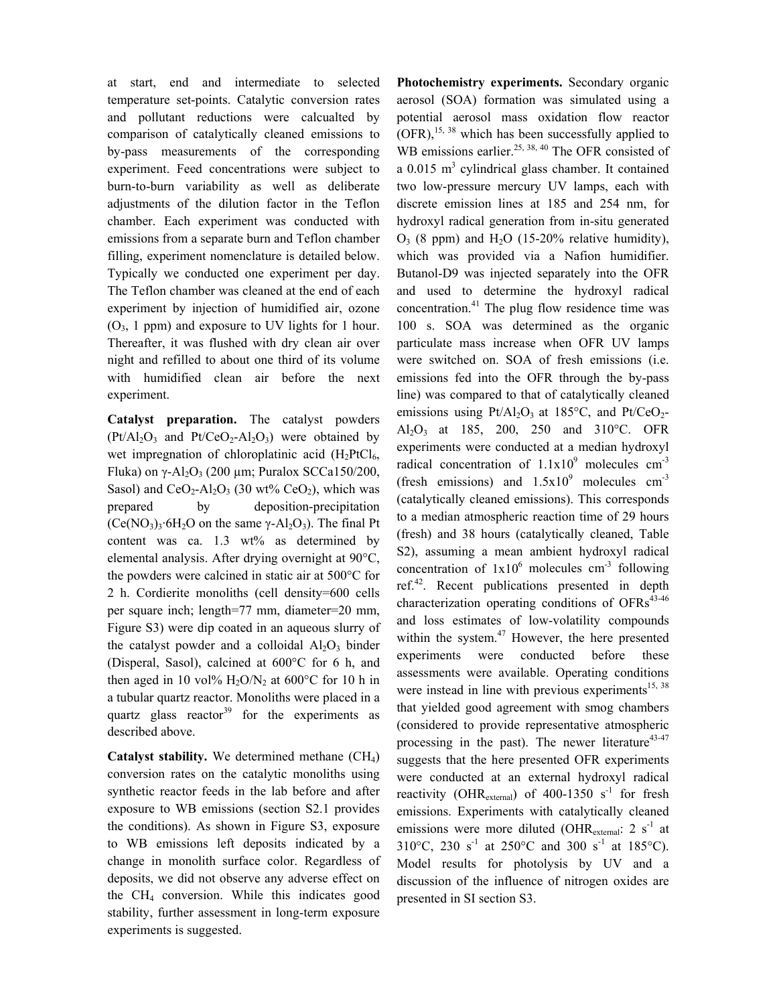at start, end and intermediate to selected temperature set-points. Catalytic conversion rates and pollutant reductions were calcualted by comparison of catalytically cleaned emissions to by-pass measurements of the corresponding experiment. Feed concentrations were subject to burn-to-burn variability as well as deliberate adjustments of the dilution factor in the Teflon chamber. Each experiment was conducted with emissions from a separate burn and Teflon chamber filling, experiment nomenclature is detailed below. Typically we conducted one experiment per day. The Teflon chamber was cleaned at the end of each experiment by injection of humidified air, ozone  $(O_3, 1$  ppm) and exposure to UV lights for 1 hour. Thereafter, it was flushed with dry clean air over night and refilled to about one third of its volume with humidified clean air before the next experiment.

**Catalyst preparation.** The catalyst powders  $(Pt/Al<sub>2</sub>O<sub>3</sub>$  and  $Pt/CeO<sub>2</sub>-Al<sub>2</sub>O<sub>3</sub>)$  were obtained by wet impregnation of chloroplatinic acid  $(H_2PtCl_6)$ , Fluka) on  $\gamma$ -Al<sub>2</sub>O<sub>3</sub> (200 µm; Puralox SCCa150/200, Sasol) and  $CeO<sub>2</sub>-Al<sub>2</sub>O<sub>3</sub>$  (30 wt%  $CeO<sub>2</sub>$ ), which was prepared by deposition-precipitation  $(Ce(NO<sub>3</sub>)<sub>3</sub>·6H<sub>2</sub>O$  on the same  $\gamma$ -Al<sub>2</sub>O<sub>3</sub>). The final Pt content was ca.  $1.3 \text{ wt\%}$  as determined by elemental analysis. After drying overnight at 90°C, the powders were calcined in static air at 500°C for 2 h. Cordierite monoliths (cell density=600 cells per square inch; length=77 mm, diameter=20 mm, Figure S3) were dip coated in an aqueous slurry of the catalyst powder and a colloidal  $Al_2O_3$  binder (Disperal, Sasol), calcined at 600°C for 6 h, and then aged in 10 vol%  $H_2O/N_2$  at 600°C for 10 h in a tubular quartz reactor. Monoliths were placed in a quartz glass reactor<sup>39</sup> for the experiments as described above.

Catalyst stability. We determined methane (CH<sub>4</sub>) conversion rates on the catalytic monoliths using synthetic reactor feeds in the lab before and after exposure to WB emissions (section S2.1 provides the conditions). As shown in Figure S3, exposure to WB emissions left deposits indicated by a change in monolith surface color. Regardless of deposits, we did not observe any adverse effect on the CH4 conversion. While this indicates good stability, further assessment in long-term exposure experiments is suggested.

**Photochemistry experiments.** Secondary organic aerosol (SOA) formation was simulated using a potential aerosol mass oxidation flow reactor  $(OFR)$ , <sup>15, 38</sup> which has been successfully applied to WB emissions earlier.<sup>25, 38, 40</sup> The OFR consisted of a  $0.015 \text{ m}^3$  cylindrical glass chamber. It contained two low-pressure mercury UV lamps, each with discrete emission lines at 185 and 254 nm, for hydroxyl radical generation from in-situ generated  $O_3$  (8 ppm) and H<sub>2</sub>O (15-20% relative humidity), which was provided via a Nafion humidifier. Butanol-D9 was injected separately into the OFR and used to determine the hydroxyl radical concentration.<sup>41</sup> The plug flow residence time was 100 s. SOA was determined as the organic particulate mass increase when OFR UV lamps were switched on. SOA of fresh emissions (i.e. emissions fed into the OFR through the by-pass line) was compared to that of catalytically cleaned emissions using  $Pt/Al_2O_3$  at 185°C, and  $Pt/CeO_2$ -Al2O3 at 185, 200, 250 and 310°C. OFR experiments were conducted at a median hydroxyl radical concentration of  $1.1x10^9$  molecules cm<sup>-3</sup> (fresh emissions) and  $1.5x10<sup>9</sup>$  molecules cm<sup>-3</sup> (catalytically cleaned emissions). This corresponds to a median atmospheric reaction time of 29 hours (fresh) and 38 hours (catalytically cleaned, Table S2), assuming a mean ambient hydroxyl radical concentration of  $1x10^6$  molecules cm<sup>-3</sup> following ref<sup>.42</sup>. Recent publications presented in depth characterization operating conditions of  $OFRs<sup>43-46</sup>$ and loss estimates of low-volatility compounds within the system. $47$  However, the here presented experiments were conducted before these assessments were available. Operating conditions were instead in line with previous experiments<sup>15, 38</sup> that yielded good agreement with smog chambers (considered to provide representative atmospheric processing in the past). The newer literature<sup>43-47</sup> suggests that the here presented OFR experiments were conducted at an external hydroxyl radical reactivity (OHR<sub>external</sub>) of 400-1350 s<sup>-1</sup> for fresh emissions. Experiments with catalytically cleaned emissions were more diluted (OHR<sub>external</sub>: 2 s<sup>-1</sup> at 310°C, 230 s<sup>-1</sup> at 250°C and 300 s<sup>-1</sup> at 185°C). Model results for photolysis by UV and a discussion of the influence of nitrogen oxides are presented in SI section S3.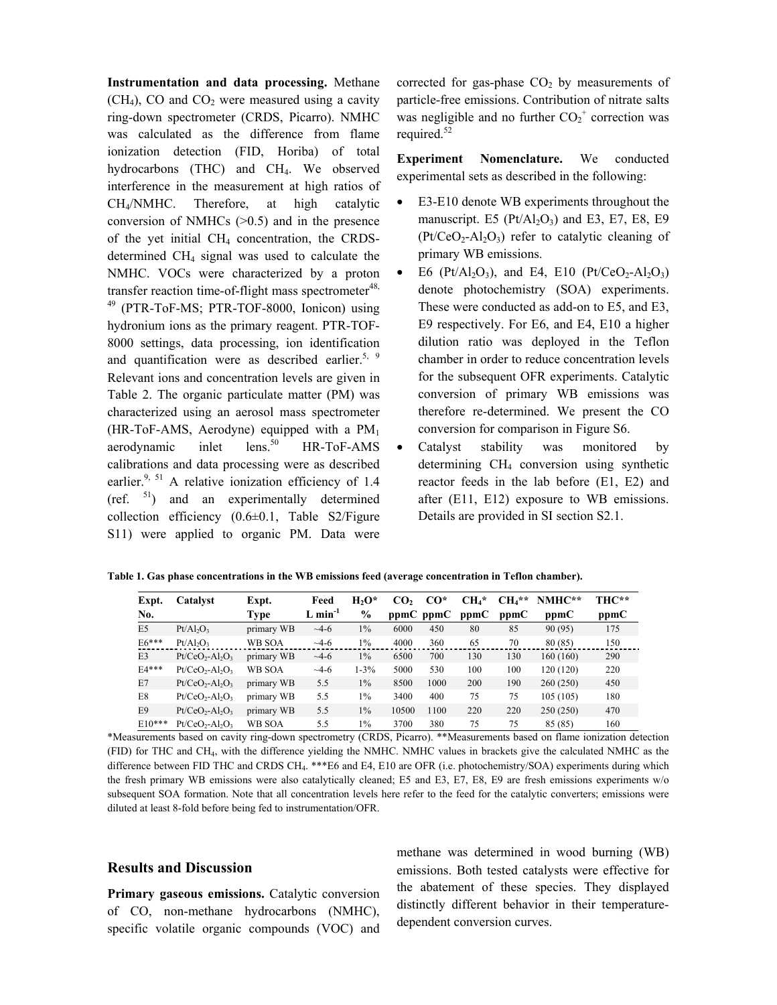**Instrumentation and data processing.** Methane  $(CH<sub>4</sub>)$ , CO and CO<sub>2</sub> were measured using a cavity ring-down spectrometer (CRDS, Picarro). NMHC was calculated as the difference from flame ionization detection (FID, Horiba) of total hydrocarbons (THC) and CH4. We observed interference in the measurement at high ratios of CH4/NMHC. Therefore, at high catalytic conversion of NMHCs  $(>0.5)$  and in the presence of the yet initial  $CH<sub>4</sub>$  concentration, the CRDSdetermined CH4 signal was used to calculate the NMHC. VOCs were characterized by a proton transfer reaction time-of-flight mass spectrometer $48$ , <sup>49</sup> (PTR-ToF-MS; PTR-TOF-8000, Ionicon) using hydronium ions as the primary reagent. PTR-TOF-8000 settings, data processing, ion identification and quantification were as described earlier.<sup>5, 9</sup> Relevant ions and concentration levels are given in Table 2. The organic particulate matter (PM) was characterized using an aerosol mass spectrometer (HR-ToF-AMS, Aerodyne) equipped with a  $PM<sub>1</sub>$ aerodynamic inlet lens.<sup>50</sup> HR-ToF-AMS calibrations and data processing were as described earlier.<sup>9, 51</sup> A relative ionization efficiency of 1.4 (ref. <sup>51</sup>) and an experimentally determined collection efficiency (0.6±0.1, Table S2/Figure S11) were applied to organic PM. Data were

corrected for gas-phase  $CO<sub>2</sub>$  by measurements of particle-free emissions. Contribution of nitrate salts was negligible and no further  $CO_2^+$  correction was required.<sup>52</sup>

**Experiment Nomenclature.** We conducted experimental sets as described in the following:

- E3-E10 denote WB experiments throughout the manuscript. E5  $(Pt/Al<sub>2</sub>O<sub>3</sub>)$  and E3, E7, E8, E9  $(Pt/CeO<sub>2</sub>-Al<sub>2</sub>O<sub>3</sub>)$  refer to catalytic cleaning of primary WB emissions.
- E6 (Pt/Al<sub>2</sub>O<sub>3</sub>), and E4, E10 (Pt/CeO<sub>2</sub>-Al<sub>2</sub>O<sub>3</sub>) denote photochemistry (SOA) experiments. These were conducted as add-on to E5, and E3, E9 respectively. For E6, and E4, E10 a higher dilution ratio was deployed in the Teflon chamber in order to reduce concentration levels for the subsequent OFR experiments. Catalytic conversion of primary WB emissions was therefore re-determined. We present the CO conversion for comparison in Figure S6.
- Catalyst stability was monitored by determining CH4 conversion using synthetic reactor feeds in the lab before (E1, E2) and after (E11, E12) exposure to WB emissions. Details are provided in SI section S2.1.

| Expt.          | Catalyst        | Expt.      | Feed                 | $H2O*$    | CO <sub>2</sub> | $CO*$         | $CH_4^*$ | $CH_4**$ | NMHC**    | THC** |
|----------------|-----------------|------------|----------------------|-----------|-----------------|---------------|----------|----------|-----------|-------|
| No.            |                 | Type       | $L \text{ min}^{-1}$ | $\%$      |                 | $ppmC$ $ppmC$ | ppmC     | ppmC     | ppmC      | ppmC  |
| E <sub>5</sub> | $Pt/Al_2O_3$    | primary WB | $~1 - 4 - 6$         | $1\%$     | 6000            | 450           | 80       | 85       | 90(95)    | 175   |
| $E6***$        | $Pt/Al_2O_3$    | WB SOA     | $~1 - 4 - 6$         | $1\%$     | 4000            | 360           | 65       | 70       | 80(85)    | 150   |
| E3             | $Pt/CeO2-Al2O3$ | primary WB | $-4-6$               | $1\%$     | 6500            | 700           | 130      | 130      | 160 (160) | 290   |
| $E4***$        | $Pt/CeO2-Al2O3$ | WB SOA     | $~1 - 4 - 6$         | $1 - 3\%$ | 5000            | 530           | 100      | 100      | 120 (120) | 220   |
| E7             | $Pt/CeO2-Al2O3$ | primary WB | 5.5                  | $1\%$     | 8500            | 1000          | 200      | 190      | 260(250)  | 450   |
| E8             | $Pt/CeO2-Al2O3$ | primary WB | 5.5                  | $1\%$     | 3400            | 400           | 75       | 75       | 105(105)  | 180   |
| E9             | $Pt/CeO2-Al2O3$ | primary WB | 5.5                  | $1\%$     | 10500           | 1100          | 220      | 220      | 250 (250) | 470   |
| $E10***$       | $Pt/CeO2-Al2O3$ | WB SOA     | 5.5                  | $1\%$     | 3700            | 380           | 75       | 75       | 85 (85)   | 160   |

**Table 1. Gas phase concentrations in the WB emissions feed (average concentration in Teflon chamber).** 

\*Measurements based on cavity ring-down spectrometry (CRDS, Picarro). \*\*Measurements based on flame ionization detection (FID) for THC and CH<sup>4</sup> , with the difference yielding the NMHC. NMHC values in brackets give the calculated NMHC as the difference between FID THC and CRDS CH<sub>4</sub>. \*\*\*E6 and E4, E10 are OFR (i.e. photochemistry/SOA) experiments during which the fresh primary WB emissions were also catalytically cleaned; E5 and E3, E7, E8, E9 are fresh emissions experiments w/o subsequent SOA formation. Note that all concentration levels here refer to the feed for the catalytic converters; emissions were diluted at least 8-fold before being fed to instrumentation/OFR.

#### **Results and Discussion**

**Primary gaseous emissions.** Catalytic conversion of CO, non-methane hydrocarbons (NMHC), specific volatile organic compounds (VOC) and methane was determined in wood burning (WB) emissions. Both tested catalysts were effective for the abatement of these species. They displayed distinctly different behavior in their temperaturedependent conversion curves.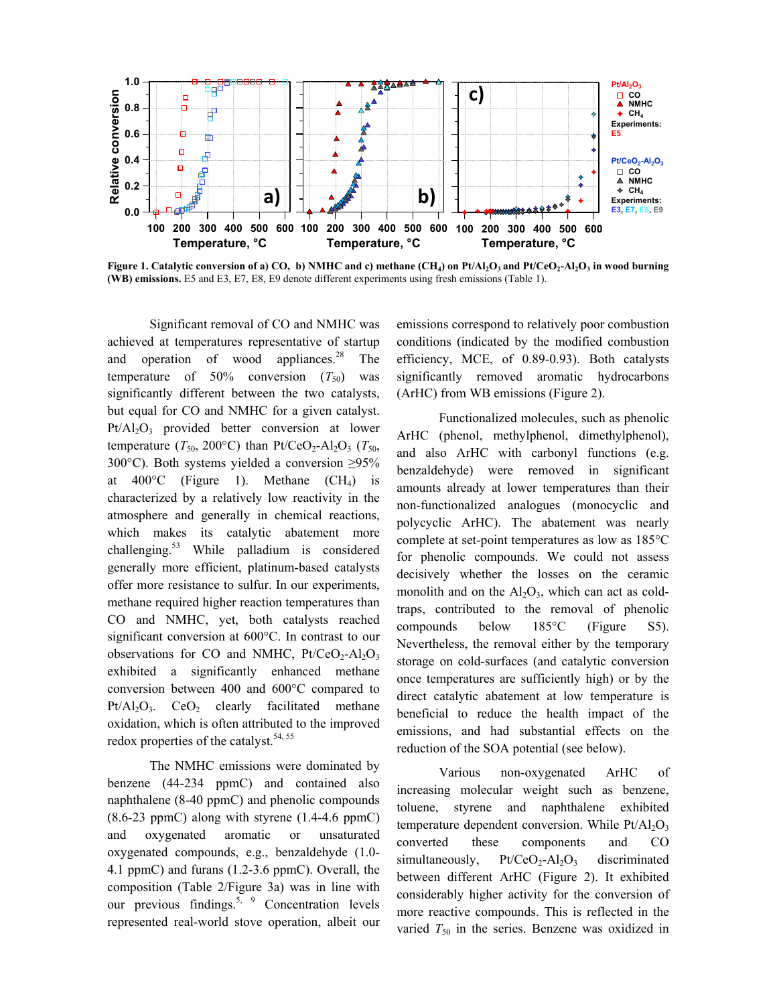

**Figure 1. Catalytic conversion of a) CO, b) NMHC and c) methane (CH<sup>4</sup> ) on Pt/Al2O3 and Pt/CeO<sup>2</sup> -Al2O<sup>3</sup> in wood burning (WB) emissions.** E5 and E3, E7, E8, E9 denote different experiments using fresh emissions (Table 1).

Significant removal of CO and NMHC was achieved at temperatures representative of startup and operation of wood appliances. $28$  The temperature of 50% conversion  $(T_{50})$  was significantly different between the two catalysts, but equal for CO and NMHC for a given catalyst.  $Pt/Al<sub>2</sub>O<sub>3</sub>$  provided better conversion at lower temperature ( $T_{50}$ , 200°C) than Pt/CeO<sub>2</sub>-Al<sub>2</sub>O<sub>3</sub> ( $T_{50}$ , 300°C). Both systems yielded a conversion  $\geq 95\%$ at  $400^{\circ}$ C (Figure 1). Methane (CH<sub>4</sub>) is characterized by a relatively low reactivity in the atmosphere and generally in chemical reactions, which makes its catalytic abatement more challenging.<sup>53</sup> While palladium is considered generally more efficient, platinum-based catalysts offer more resistance to sulfur. In our experiments, methane required higher reaction temperatures than CO and NMHC, yet, both catalysts reached significant conversion at 600°C. In contrast to our observations for CO and NMHC,  $Pt/CeO<sub>2</sub>-Al<sub>2</sub>O<sub>3</sub>$ exhibited a significantly enhanced methane conversion between 400 and 600°C compared to  $Pt/Al_2O_3$ .  $CeO_2$  clearly facilitated methane oxidation, which is often attributed to the improved redox properties of the catalyst.<sup>54, 55</sup>

The NMHC emissions were dominated by benzene (44-234 ppmC) and contained also naphthalene (8-40 ppmC) and phenolic compounds (8.6-23 ppmC) along with styrene (1.4-4.6 ppmC) and oxygenated aromatic or unsaturated oxygenated compounds, e.g., benzaldehyde (1.0- 4.1 ppmC) and furans (1.2-3.6 ppmC). Overall, the composition (Table 2/Figure 3a) was in line with our previous findings.<sup>5, 9</sup> Concentration levels represented real-world stove operation, albeit our

emissions correspond to relatively poor combustion conditions (indicated by the modified combustion efficiency, MCE, of 0.89-0.93). Both catalysts significantly removed aromatic hydrocarbons (ArHC) from WB emissions (Figure 2).

Functionalized molecules, such as phenolic ArHC (phenol, methylphenol, dimethylphenol), and also ArHC with carbonyl functions (e.g. benzaldehyde) were removed in significant amounts already at lower temperatures than their non-functionalized analogues (monocyclic and polycyclic ArHC). The abatement was nearly complete at set-point temperatures as low as 185°C for phenolic compounds. We could not assess decisively whether the losses on the ceramic monolith and on the  $Al_2O_3$ , which can act as coldtraps, contributed to the removal of phenolic compounds below 185°C (Figure S5). Nevertheless, the removal either by the temporary storage on cold-surfaces (and catalytic conversion once temperatures are sufficiently high) or by the direct catalytic abatement at low temperature is beneficial to reduce the health impact of the emissions, and had substantial effects on the reduction of the SOA potential (see below).

Various non-oxygenated ArHC of increasing molecular weight such as benzene, toluene, styrene and naphthalene exhibited temperature dependent conversion. While  $Pt/Al_2O_3$ converted these components and CO simultaneously,  $Pt/CeO<sub>2</sub>-Al<sub>2</sub>O<sub>3</sub>$  discriminated between different ArHC (Figure 2). It exhibited considerably higher activity for the conversion of more reactive compounds. This is reflected in the varied  $T_{50}$  in the series. Benzene was oxidized in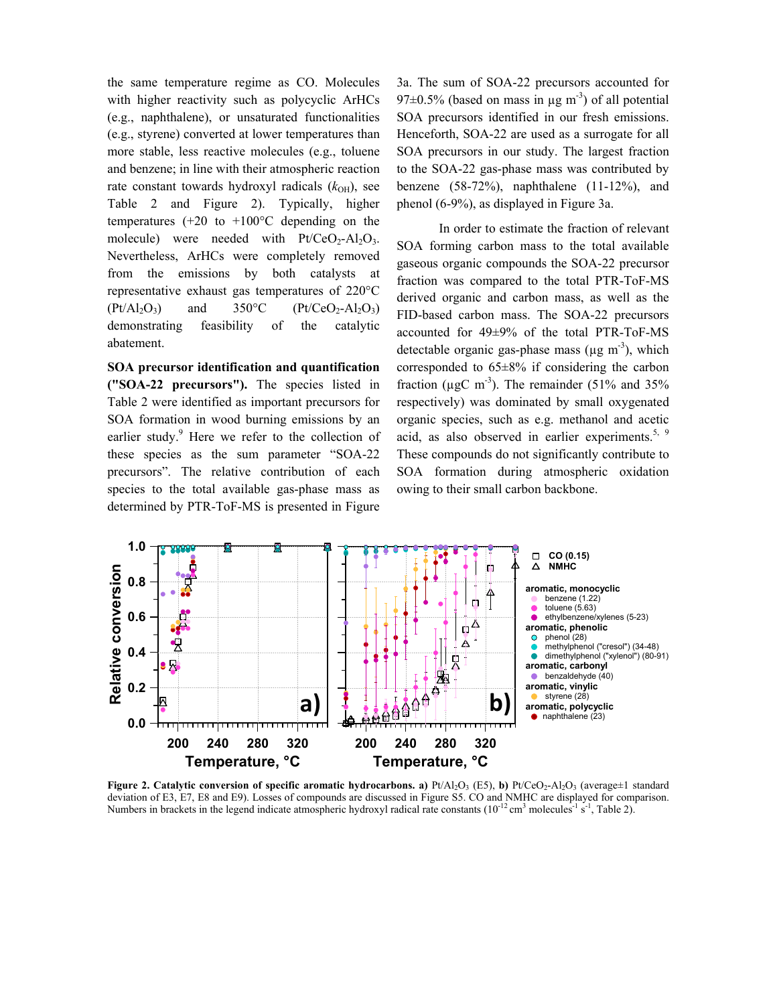the same temperature regime as CO. Molecules with higher reactivity such as polycyclic ArHCs (e.g., naphthalene), or unsaturated functionalities (e.g., styrene) converted at lower temperatures than more stable, less reactive molecules (e.g., toluene and benzene; in line with their atmospheric reaction rate constant towards hydroxyl radicals  $(k<sub>OH</sub>)$ , see Table 2 and Figure 2). Typically, higher temperatures (+20 to +100°C depending on the molecule) were needed with  $Pt/CeO<sub>2</sub>-Al<sub>2</sub>O<sub>3</sub>$ . Nevertheless, ArHCs were completely removed from the emissions by both catalysts at representative exhaust gas temperatures of 220°C  $(Pt/Al<sub>2</sub>O<sub>3</sub>)$  and  $350^{\circ}C$   $(Pt/CeO<sub>2</sub>-Al<sub>2</sub>O<sub>3</sub>)$ demonstrating feasibility of the catalytic abatement.

**SOA precursor identification and quantification ("SOA-22 precursors").** The species listed in Table 2 were identified as important precursors for SOA formation in wood burning emissions by an earlier study.<sup>9</sup> Here we refer to the collection of these species as the sum parameter "SOA-22 precursors". The relative contribution of each species to the total available gas-phase mass as determined by PTR-ToF-MS is presented in Figure

3a. The sum of SOA-22 precursors accounted for  $97\pm0.5\%$  (based on mass in ug m<sup>-3</sup>) of all potential SOA precursors identified in our fresh emissions. Henceforth, SOA-22 are used as a surrogate for all SOA precursors in our study. The largest fraction to the SOA-22 gas-phase mass was contributed by benzene (58-72%), naphthalene (11-12%), and phenol (6-9%), as displayed in Figure 3a.

In order to estimate the fraction of relevant SOA forming carbon mass to the total available gaseous organic compounds the SOA-22 precursor fraction was compared to the total PTR-ToF-MS derived organic and carbon mass, as well as the FID-based carbon mass. The SOA-22 precursors accounted for 49±9% of the total PTR-ToF-MS detectable organic gas-phase mass ( $\mu$ g m<sup>-3</sup>), which corresponded to 65±8% if considering the carbon fraction ( $\mu$ gC m<sup>-3</sup>). The remainder (51% and 35% respectively) was dominated by small oxygenated organic species, such as e.g. methanol and acetic acid, as also observed in earlier experiments.<sup>5, 9</sup> These compounds do not significantly contribute to SOA formation during atmospheric oxidation owing to their small carbon backbone.



**Figure 2. Catalytic conversion of specific aromatic hydrocarbons. a)**  $Pt/Al_2O_3$  **(E5), b)**  $Pt/CeO_2-Al_2O_3$  **(average** $±1$  **standard** deviation of E3, E7, E8 and E9). Losses of compounds are discussed in Figure S5. CO and NMHC are displayed for comparison. Numbers in brackets in the legend indicate atmospheric hydroxyl radical rate constants  $(10^{-12} \text{ cm}^3 \text{ molecules}^{-1} \text{ s}^{-1}$ , Table 2).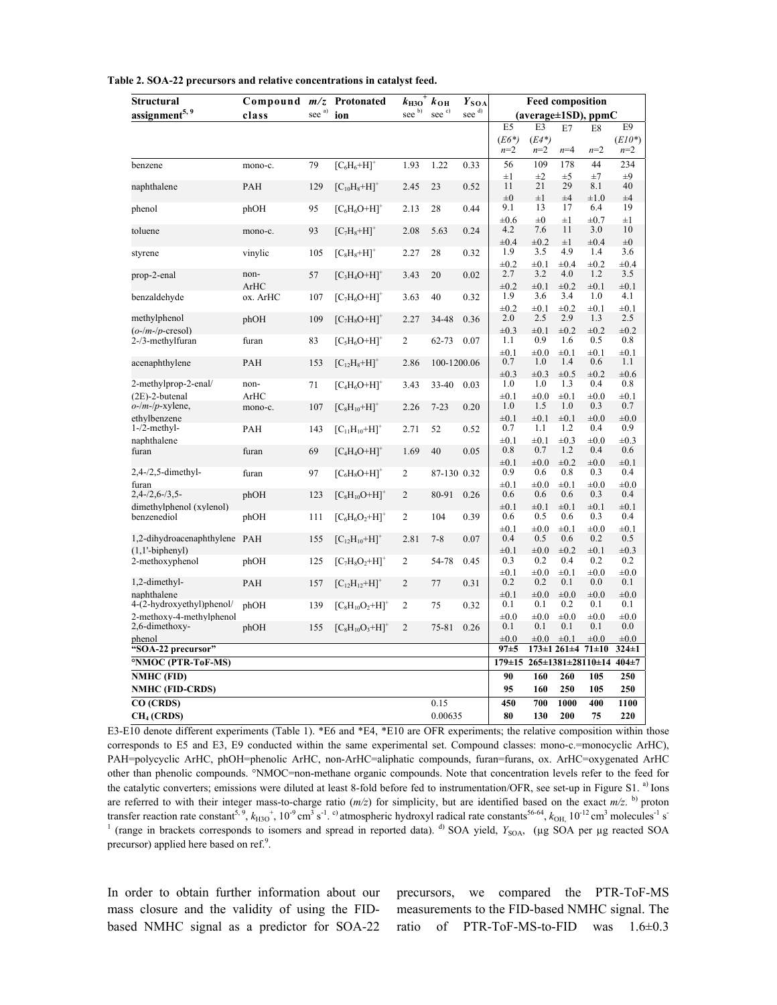| <b>Structural</b>                                    | Compound $m/z$ Protonated |                   |                                 | $k_{H3O}$ <sup>+</sup> $k_{OH}$ |                   | $Y_{\text{SOA}}$                            | <b>Feed composition</b> |                  |                                            |                   |                          |  |
|------------------------------------------------------|---------------------------|-------------------|---------------------------------|---------------------------------|-------------------|---------------------------------------------|-------------------------|------------------|--------------------------------------------|-------------------|--------------------------|--|
| assignment <sup>5, 9</sup>                           | class                     | see <sup>a)</sup> | ion                             | see $^{\rm b)}$                 | see <sup>c)</sup> | see $\overset{\textnormal{\textup{d}}}{\,}$ | (average±1SD), ppmC     |                  |                                            |                   |                          |  |
|                                                      |                           |                   |                                 |                                 |                   |                                             | E <sub>5</sub>          | E <sub>3</sub>   | E7                                         | E8                | E9                       |  |
|                                                      |                           |                   |                                 |                                 |                   |                                             | $(E6*)$                 | $(E4*)$          |                                            |                   | $(E10*)$                 |  |
|                                                      |                           |                   |                                 |                                 |                   |                                             | $n=2$                   | $n=2$            | $n=4$                                      | $n=2$             | $n=2$                    |  |
| benzene                                              | mono-c.                   | 79                | $[C_6H_6+H]^+$                  | 1.93                            | 1.22              | 0.33                                        | 56                      | 109              | 178                                        | 44                | 234                      |  |
| naphthalene                                          | PAH                       | 129               | $[C_{10}H_8+H]$                 | 2.45                            | 23                | 0.52                                        | $\pm 1$<br>11           | $\pm 2$<br>21    | $_{\pm 5}$<br>29                           | $_{\pm 7}$<br>8.1 | $\pm 9$<br>40            |  |
|                                                      |                           |                   |                                 |                                 |                   |                                             | $\pm 0$                 | $\pm 1$          | $\pm 4$                                    | $\pm 1.0$         | ±4                       |  |
| phenol                                               | phOH                      | 95                | $[C_6H_6O+H]^+$                 | 2.13                            | 28                | 0.44                                        | 9.1                     | 13               | 17                                         | 6.4               | 19                       |  |
|                                                      |                           |                   |                                 |                                 |                   |                                             | $\pm 0.6$<br>4.2        | $\pm 0$<br>7.6   | $\pm 1$<br>11                              | $\pm 0.7$<br>3.0  | $\pm 1$<br>10            |  |
| toluene                                              | mono-c.                   | 93                | $[C_7H_8+H]^+$                  | 2.08                            | 5.63              | 0.24                                        | $\pm 0.4$               | $\pm 0.2$        | $\pm 1$                                    | $\pm 0.4$         | $\pm 0$                  |  |
| styrene                                              | vinylic                   | 105               | $[C_8H_8+H]^+$                  | 2.27                            | 28                | 0.32                                        | 1.9                     | 3.5              | 4.9                                        | 1.4               | 3.6                      |  |
|                                                      |                           |                   |                                 |                                 |                   |                                             | $\pm 0.2$               | $\pm 0.1$        | $\pm 0.4$                                  | $\pm 0.2$         | $\pm 0.4$                |  |
| prop-2-enal                                          | non-                      | 57                | $[C_3H_4O+H]^+$                 | 3.43                            | 20                | 0.02                                        | 2.7                     | 3.2              | 4.0                                        | 1.2               | 3.5                      |  |
| benzaldehyde                                         | ArHC<br>ox. ArHC          | 107               | $[C7H6O+H]+$                    | 3.63                            | 40                | 0.32                                        | $\pm 0.2$<br>1.9        | $\pm 0.1$<br>3.6 | $\pm 0.2$<br>3.4                           | $\pm 0.1$<br>1.0  | $\pm 0.1$<br>4.1         |  |
|                                                      |                           |                   |                                 |                                 |                   |                                             | $\pm 0.2$               | $\pm 0.1$        | $\pm 0.2$                                  | $\pm 0.1$         | $\pm 0.1$                |  |
| methylphenol                                         | phOH                      | 109               | $[C_7H_8O+H]^+$                 | 2.27                            | 34-48             | 0.36                                        | 2.0                     | 2.5              | 2.9                                        | 1.3               | 2.5                      |  |
| $(o-m-p-$ cresol)                                    |                           |                   |                                 |                                 |                   |                                             | $\pm 0.3$               | $\pm 0.1$        | $\pm 0.2$                                  | $\pm 0.2$         | $\pm 0.2$                |  |
| 2-/3-methylfuran                                     | furan                     | 83                | $[C5H6O+H]+$                    | $\overline{c}$                  | $62 - 73$         | 0.07                                        | 1.1                     | 0.9              | 1.6                                        | 0.5               | 0.8                      |  |
| acenaphthylene                                       | PAH                       | 153               | $[C_{12}H_8+H]^+$               | 2.86                            | 100-1200.06       |                                             | $\pm 0.1$<br>0.7        | $\pm 0.0$<br>1.0 | $\pm 0.1$<br>1.4                           | $\pm 0.1$<br>0.6  | $\pm 0.1$<br>1.1         |  |
|                                                      |                           |                   |                                 |                                 |                   |                                             | $\pm 0.3$               | $\pm 0.3$        | $\pm 0.5$                                  | $\pm 0.2$         | $\pm 0.6$                |  |
| 2-methylprop-2-enal/                                 | non-                      | 71                | $[C_4H_6O+H]^+$                 | 3.43                            | 33-40             | 0.03                                        | 1.0                     | 1.0              | 1.3                                        | 0.4               | 0.8                      |  |
| $(2E)$ -2-butenal                                    | ArHC                      |                   |                                 |                                 |                   |                                             | $\pm 0.1$<br>1.0        | $\pm 0.0$<br>1.5 | $\pm 0.1$<br>1.0                           | $\pm 0.0$<br>0.3  | $\pm 0.1$<br>0.7         |  |
| $o$ -/ <i>m</i> -/ <i>p</i> -xylene,<br>ethylbenzene | mono-c.                   | 107               | $[C_8H_{10}+H]^+$               | 2.26                            | $7 - 23$          | 0.20                                        | $\pm 0.1$               | $\pm 0.1$        | $\pm 0.1$                                  | $\pm 0.0$         | $\pm 0.0$                |  |
| $1 - 2$ -methyl-                                     | PAH                       | 143               | $[C_{11}H_{10}+H]^{+}$          | 2.71                            | 52                | 0.52                                        | 0.7                     | 1.1              | 1.2                                        | 0.4               | 0.9                      |  |
| naphthalene                                          |                           |                   |                                 |                                 |                   |                                             | $\pm 0.1$               | $\pm 0.1$        | $\pm 0.3$                                  | $\pm 0.0$         | $\pm 0.3$                |  |
| furan                                                | furan                     | 69                | $[C_4H_4O+H]^+$                 | 1.69                            | 40                | 0.05                                        | 0.8                     | 0.7              | 1.2                                        | 0.4               | 0.6                      |  |
| $2,4-\frac{2}{5}$ -dimethyl-                         | furan                     | 97                | $[C_6H_8O+H]^+$                 | $\overline{2}$                  | 87-130 0.32       |                                             | $\pm 0.1$<br>0.9        | $\pm 0.0$<br>0.6 | $\pm 0.2$<br>0.8                           | $\pm 0.0$<br>0.3  | $\pm 0.1$<br>0.4         |  |
| furan                                                |                           |                   |                                 |                                 |                   |                                             | $\pm 0.1$               | $\pm 0.0$        | $\pm 0.1$                                  | $\pm 0.0$         | $\pm 0.0$                |  |
| $2,4-\frac{2}{6}-\frac{3}{5}$                        | phOH                      | 123               | $[C_8H_{10}O+H]^+$              | $\overline{2}$                  | 80-91             | 0.26                                        | 0.6                     | 0.6              | 0.6                                        | 0.3               | 0.4                      |  |
| dimethylphenol (xylenol)                             |                           |                   |                                 |                                 |                   |                                             | $\pm 0.1$               | $\pm 0.1$        | $\pm 0.1$                                  | $\pm 0.1$         | $\pm 0.1$                |  |
| benzenediol                                          | phOH                      | 111               | $[C_6H_6O_2+H]^+$               | 2                               | 104               | 0.39                                        | 0.6<br>$\pm 0.1$        | 0.5<br>$\pm 0.0$ | 0.6<br>$\pm 0.1$                           | 0.3<br>$\pm 0.0$  | 0.4<br>$\pm 0.1$         |  |
| 1,2-dihydroacenaphthylene PAH                        |                           | 155               | $[C_{12}H_{10}+H]$ <sup>+</sup> | 2.81                            | $7 - 8$           | 0.07                                        | 0.4                     | 0.5              | 0.6                                        | 0.2               | 0.5                      |  |
| $(1,1'-bipheny)$                                     |                           |                   |                                 |                                 |                   |                                             | $\pm 0.1$               | $\pm 0.0$        | $\pm 0.2$                                  | $\pm 0.1$         | $\pm 0.3$                |  |
| 2-methoxyphenol                                      | phOH                      | 125               | $[C_7H_8O_2 + H]^+$             | $\overline{2}$                  | 54-78             | 0.45                                        | 0.3                     | 0.2              | 0.4                                        | 0.2               | 0.2                      |  |
| 1,2-dimethyl-                                        |                           |                   |                                 |                                 |                   |                                             | $\pm 0.1$<br>0.2        | $\pm 0.0$<br>0.2 | $\pm 0.1$<br>0.1                           | $\pm 0.0$<br>0.0  | $\pm 0.0$<br>0.1         |  |
| naphthalene                                          | PAH                       | 157               | $[C_{12}H_{12}+H]$ <sup>+</sup> | $\overline{2}$                  | 77                | 0.31                                        | $\pm 0.1$               | $\pm 0.0$        | $\pm 0.0$                                  | $\pm 0.0$         | $\pm 0.0$                |  |
| 4-(2-hydroxyethyl)phenol/                            | phOH                      | 139               | $[C_8H_{10}O_2+H]^+$            | $\overline{2}$                  | 75                | 0.32                                        | 0.1                     | 0.1              | 0.2                                        | 0.1               | 0.1                      |  |
| 2-methoxy-4-methylphenol                             |                           |                   |                                 |                                 |                   |                                             | $\pm 0.0$               | $\pm 0.0$        | $\pm 0.0$                                  | $\pm 0.0$         | $\pm 0.0$                |  |
| 2,6-dimethoxy-                                       | phOH                      | 155               | $[C_8H_{10}O_3+H]^+$            | $\overline{c}$                  | $75 - 81$         | 0.26                                        | 0.1                     | 0.1              | 0.1                                        | 0.1               | 0.0                      |  |
| phenol<br>"SOA-22 precursor"                         |                           |                   |                                 |                                 |                   |                                             | $\pm 0.0$<br>$97 + 5$   | $\pm 0.0$        | $\pm 0.1$<br>$173 \pm 1261 \pm 471 \pm 10$ | $\pm 0.0$         | $\pm 0.0$<br>$324 \pm 1$ |  |
| °NMOC (PTR-ToF-MS)                                   |                           |                   |                                 |                                 |                   |                                             | $179 + 15$              |                  |                                            | 265±1381±28110±14 | $404 + 7$                |  |
| $\overline{\text{NMHC}}$ (FID)                       |                           |                   |                                 |                                 |                   |                                             | 90                      | 160              | 260                                        | 105               | 250                      |  |
| NMHC (FID-CRDS)                                      |                           |                   |                                 |                                 |                   |                                             | 95                      | 160              | 250                                        | 105               | 250                      |  |
| CO (CRDS)                                            |                           |                   |                                 |                                 | 0.15              |                                             | 450                     | 700              | 1000                                       | 400               | 1100                     |  |
| CH <sub>4</sub> (CRDS)                               |                           |                   |                                 |                                 | 0.00635           |                                             | 80                      | 130              | 200                                        | 75                | 220                      |  |
|                                                      |                           |                   |                                 |                                 |                   |                                             |                         |                  |                                            |                   |                          |  |

**Table 2. SOA-22 precursors and relative concentrations in catalyst feed.** 

E3-E10 denote different experiments (Table 1). \*E6 and \*E4, \*E10 are OFR experiments; the relative composition within those corresponds to E5 and E3, E9 conducted within the same experimental set. Compound classes: mono-c.=monocyclic ArHC), PAH=polycyclic ArHC, phOH=phenolic ArHC, non-ArHC=aliphatic compounds, furan=furans, ox. ArHC=oxygenated ArHC other than phenolic compounds. °NMOC=non-methane organic compounds. Note that concentration levels refer to the feed for the catalytic converters; emissions were diluted at least 8-fold before fed to instrumentation/OFR, see set-up in Figure S1.<sup>a)</sup> Ions are referred to with their integer mass-to-charge ratio  $(m/z)$  for simplicity, but are identified based on the exact  $m/z$ . <sup>b</sup>) proton transfer reaction rate constant<sup>5, 9</sup>,  $k_{H30}$ <sup>+</sup>, 10<sup>-9</sup> cm<sup>3</sup> s<sup>-1</sup>. <sup>c)</sup> atmospheric hydroxyl radical rate constants<sup>56-64</sup>,  $k_{OH}$ , 10<sup>-12</sup> cm<sup>3</sup> molecules<sup>-1</sup> s<sup>1</sup> (range in brackets corresponds to isomers and sprea precursor) applied here based on ref.<sup>9</sup>.

In order to obtain further information about our mass closure and the validity of using the FIDbased NMHC signal as a predictor for SOA-22 precursors, we compared the PTR-ToF-MS measurements to the FID-based NMHC signal. The ratio of PTR-ToF-MS-to-FID was 1.6±0.3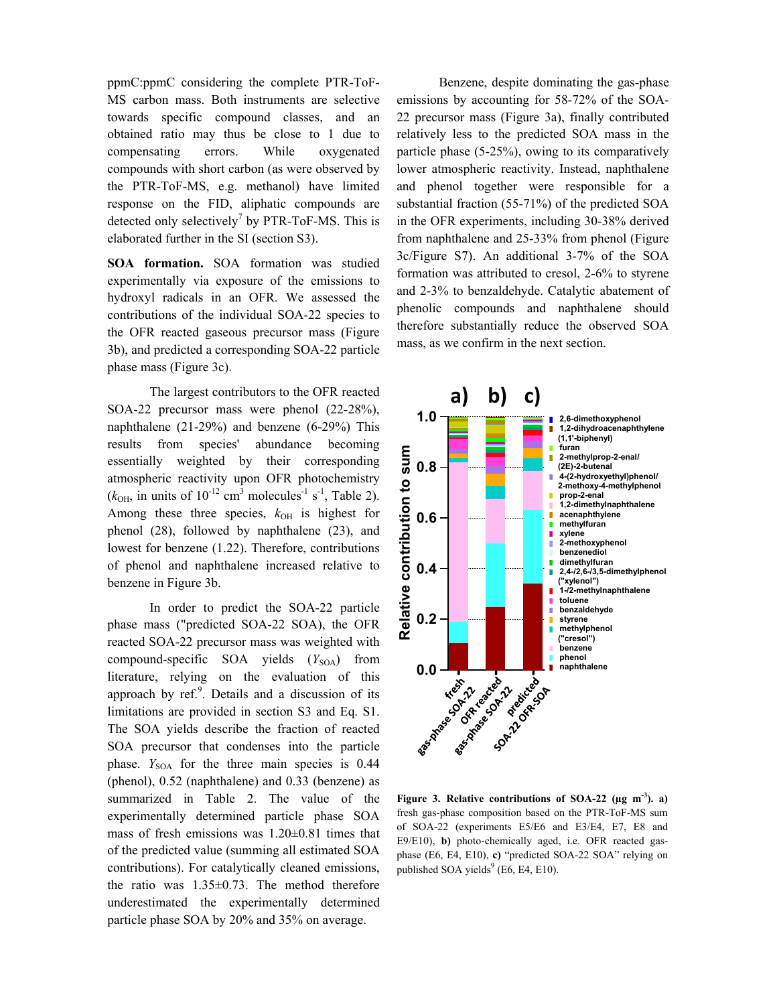ppmC:ppmC considering the complete PTR-ToF-MS carbon mass. Both instruments are selective towards specific compound classes, and an obtained ratio may thus be close to 1 due to compensating errors. While oxygenated compounds with short carbon (as were observed by the PTR-ToF-MS, e.g. methanol) have limited response on the FID, aliphatic compounds are detected only selectively<sup>7</sup> by PTR-ToF-MS. This is elaborated further in the SI (section S3).

**SOA formation.** SOA formation was studied experimentally via exposure of the emissions to hydroxyl radicals in an OFR. We assessed the contributions of the individual SOA-22 species to the OFR reacted gaseous precursor mass (Figure 3b), and predicted a corresponding SOA-22 particle phase mass (Figure 3c).

The largest contributors to the OFR reacted SOA-22 precursor mass were phenol (22-28%), naphthalene (21-29%) and benzene (6-29%) This results from species' abundance becoming essentially weighted by their corresponding atmospheric reactivity upon OFR photochemistry  $(k<sub>OH</sub>, in units of 10<sup>-12</sup> cm<sup>3</sup> molecules<sup>-1</sup> s<sup>-1</sup>, Table 2).$ Among these three species,  $k_{OH}$  is highest for phenol (28), followed by naphthalene (23), and lowest for benzene (1.22). Therefore, contributions of phenol and naphthalene increased relative to benzene in Figure 3b.

In order to predict the SOA-22 particle phase mass ("predicted SOA-22 SOA), the OFR reacted SOA-22 precursor mass was weighted with compound-specific SOA yields (*Y*<sub>SOA</sub>) from literature, relying on the evaluation of this approach by ref.<sup>9</sup>. Details and a discussion of its limitations are provided in section S3 and Eq. S1. The SOA yields describe the fraction of reacted SOA precursor that condenses into the particle phase.  $Y_{\text{SOA}}$  for the three main species is 0.44 (phenol), 0.52 (naphthalene) and 0.33 (benzene) as summarized in Table 2. The value of the experimentally determined particle phase SOA mass of fresh emissions was 1.20±0.81 times that of the predicted value (summing all estimated SOA contributions). For catalytically cleaned emissions, the ratio was 1.35±0.73. The method therefore underestimated the experimentally determined particle phase SOA by 20% and 35% on average.

Benzene, despite dominating the gas-phase emissions by accounting for 58-72% of the SOA-22 precursor mass (Figure 3a), finally contributed relatively less to the predicted SOA mass in the particle phase (5-25%), owing to its comparatively lower atmospheric reactivity. Instead, naphthalene and phenol together were responsible for a substantial fraction (55-71%) of the predicted SOA in the OFR experiments, including 30-38% derived from naphthalene and 25-33% from phenol (Figure 3c/Figure S7). An additional 3-7% of the SOA formation was attributed to cresol, 2-6% to styrene and 2-3% to benzaldehyde. Catalytic abatement of phenolic compounds and naphthalene should therefore substantially reduce the observed SOA mass, as we confirm in the next section.



**Figure 3. Relative contributions of SOA-22 (µg m-3). a)**  fresh gas-phase composition based on the PTR-ToF-MS sum of SOA-22 (experiments E5/E6 and E3/E4, E7, E8 and E9/E10), **b)** photo-chemically aged, i.e. OFR reacted gasphase (E6, E4, E10), **c)** "predicted SOA-22 SOA" relying on published SOA yields $^9$  (E6, E4, E10).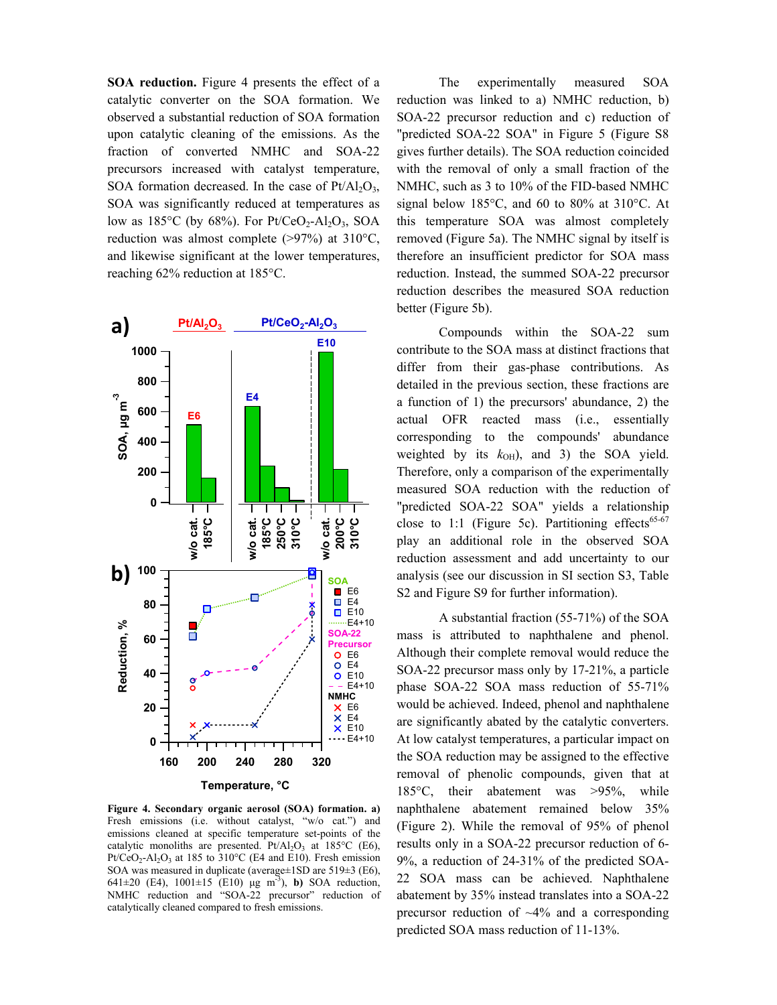**SOA reduction.** Figure 4 presents the effect of a catalytic converter on the SOA formation. We observed a substantial reduction of SOA formation upon catalytic cleaning of the emissions. As the fraction of converted NMHC and SOA-22 precursors increased with catalyst temperature, SOA formation decreased. In the case of  $Pt/Al_2O_3$ , SOA was significantly reduced at temperatures as low as  $185^{\circ}$ C (by 68%). For Pt/CeO<sub>2</sub>-Al<sub>2</sub>O<sub>3</sub>, SOA reduction was almost complete ( $>97\%$ ) at 310°C, and likewise significant at the lower temperatures, reaching 62% reduction at 185°C.



**Figure 4. Secondary organic aerosol (SOA) formation. a)** Fresh emissions (i.e. without catalyst, "w/o cat.") and emissions cleaned at specific temperature set-points of the catalytic monoliths are presented. Pt/Al<sub>2</sub>O<sub>3</sub> at 185°C (E6),  $Pt/CeO<sub>2</sub>-Al<sub>2</sub>O<sub>3</sub>$  at 185 to 310°C (E4 and E10). Fresh emission SOA was measured in duplicate (average±1SD are 519±3 (E6), 641 $\pm$ 20 (E4), 1001 $\pm$ 15 (E10) μg m<sup>-3</sup>), **b**) SOA reduction, NMHC reduction and "SOA-22 precursor" reduction of catalytically cleaned compared to fresh emissions.

The experimentally measured SOA reduction was linked to a) NMHC reduction, b) SOA-22 precursor reduction and c) reduction of "predicted SOA-22 SOA" in Figure 5 (Figure S8 gives further details). The SOA reduction coincided with the removal of only a small fraction of the NMHC, such as 3 to 10% of the FID-based NMHC signal below 185°C, and 60 to 80% at 310°C. At this temperature SOA was almost completely removed (Figure 5a). The NMHC signal by itself is therefore an insufficient predictor for SOA mass reduction. Instead, the summed SOA-22 precursor reduction describes the measured SOA reduction better (Figure 5b).

Compounds within the SOA-22 sum contribute to the SOA mass at distinct fractions that differ from their gas-phase contributions. As detailed in the previous section, these fractions are a function of 1) the precursors' abundance, 2) the actual OFR reacted mass (i.e., essentially corresponding to the compounds' abundance weighted by its  $k_{OH}$ ), and 3) the SOA yield. Therefore, only a comparison of the experimentally measured SOA reduction with the reduction of "predicted SOA-22 SOA" yields a relationship close to 1:1 (Figure 5c). Partitioning effects $65-67$ play an additional role in the observed SOA reduction assessment and add uncertainty to our analysis (see our discussion in SI section S3, Table S2 and Figure S9 for further information).

A substantial fraction (55-71%) of the SOA mass is attributed to naphthalene and phenol. Although their complete removal would reduce the SOA-22 precursor mass only by 17-21%, a particle phase SOA-22 SOA mass reduction of 55-71% would be achieved. Indeed, phenol and naphthalene are significantly abated by the catalytic converters. At low catalyst temperatures, a particular impact on the SOA reduction may be assigned to the effective removal of phenolic compounds, given that at 185°C, their abatement was >95%, while naphthalene abatement remained below 35% (Figure 2). While the removal of 95% of phenol results only in a SOA-22 precursor reduction of 6- 9%, a reduction of 24-31% of the predicted SOA-22 SOA mass can be achieved. Naphthalene abatement by 35% instead translates into a SOA-22 precursor reduction of ~4% and a corresponding predicted SOA mass reduction of 11-13%.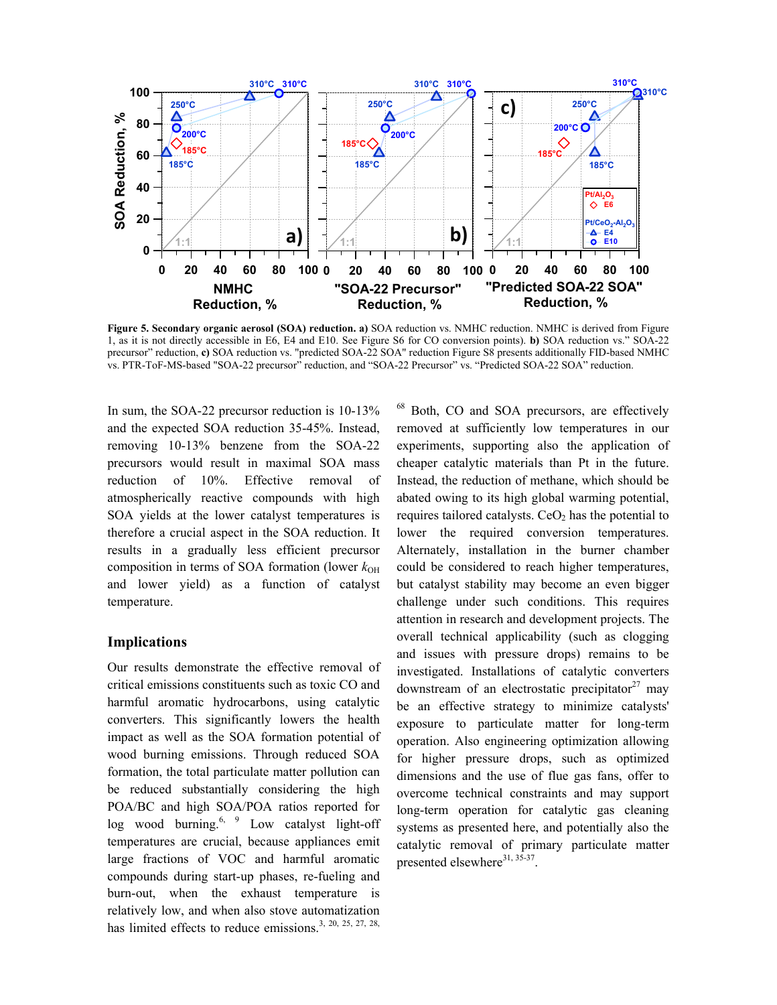

**Figure 5. Secondary organic aerosol (SOA) reduction. a)** SOA reduction vs. NMHC reduction. NMHC is derived from Figure 1, as it is not directly accessible in E6, E4 and E10. See Figure S6 for CO conversion points). **b)** SOA reduction vs." SOA-22 precursor" reduction, **c)** SOA reduction vs. "predicted SOA-22 SOA" reduction Figure S8 presents additionally FID-based NMHC vs. PTR-ToF-MS-based "SOA-22 precursor" reduction, and "SOA-22 Precursor" vs. "Predicted SOA-22 SOA" reduction.

In sum, the SOA-22 precursor reduction is 10-13% and the expected SOA reduction 35-45%. Instead, removing 10-13% benzene from the SOA-22 precursors would result in maximal SOA mass reduction of 10%. Effective removal of atmospherically reactive compounds with high SOA yields at the lower catalyst temperatures is therefore a crucial aspect in the SOA reduction. It results in a gradually less efficient precursor composition in terms of SOA formation (lower  $k_{OH}$ ) and lower yield) as a function of catalyst temperature.

#### **Implications**

Our results demonstrate the effective removal of critical emissions constituents such as toxic CO and harmful aromatic hydrocarbons, using catalytic converters. This significantly lowers the health impact as well as the SOA formation potential of wood burning emissions. Through reduced SOA formation, the total particulate matter pollution can be reduced substantially considering the high POA/BC and high SOA/POA ratios reported for  $log$  wood burning.<sup>6, 9</sup> Low catalyst light-off temperatures are crucial, because appliances emit large fractions of VOC and harmful aromatic compounds during start-up phases, re-fueling and burn-out, when the exhaust temperature is relatively low, and when also stove automatization has limited effects to reduce emissions.<sup>3, 20, 25, 27, 28,</sup>

<sup>68</sup> Both, CO and SOA precursors, are effectively removed at sufficiently low temperatures in our experiments, supporting also the application of cheaper catalytic materials than Pt in the future. Instead, the reduction of methane, which should be abated owing to its high global warming potential, requires tailored catalysts.  $CeO<sub>2</sub>$  has the potential to lower the required conversion temperatures. Alternately, installation in the burner chamber could be considered to reach higher temperatures, but catalyst stability may become an even bigger challenge under such conditions. This requires attention in research and development projects. The overall technical applicability (such as clogging and issues with pressure drops) remains to be investigated. Installations of catalytic converters downstream of an electrostatic precipitator $27$  may be an effective strategy to minimize catalysts' exposure to particulate matter for long-term operation. Also engineering optimization allowing for higher pressure drops, such as optimized dimensions and the use of flue gas fans, offer to overcome technical constraints and may support long-term operation for catalytic gas cleaning systems as presented here, and potentially also the catalytic removal of primary particulate matter presented elsewhere<sup>31, 35-37</sup>.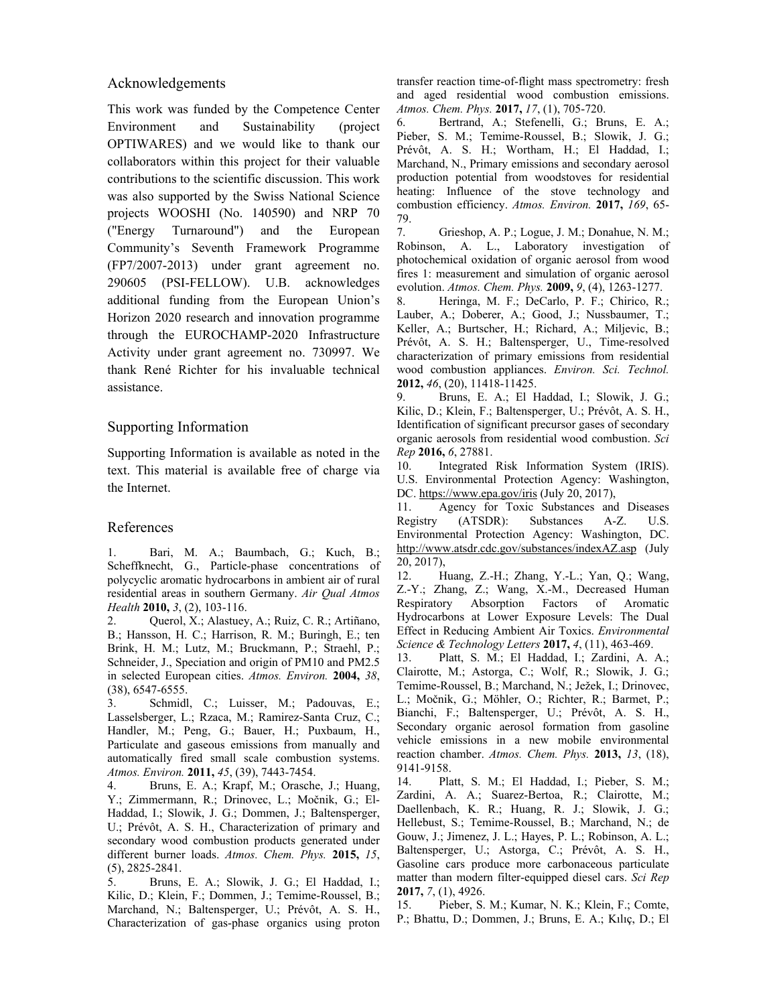### Acknowledgements

This work was funded by the Competence Center Environment and Sustainability (project OPTIWARES) and we would like to thank our collaborators within this project for their valuable contributions to the scientific discussion. This work was also supported by the Swiss National Science projects WOOSHI (No. 140590) and NRP 70 ("Energy Turnaround") and the European Community's Seventh Framework Programme (FP7/2007-2013) under grant agreement no. 290605 (PSI-FELLOW). U.B. acknowledges additional funding from the European Union's Horizon 2020 research and innovation programme through the EUROCHAMP-2020 Infrastructure Activity under grant agreement no. 730997. We thank René Richter for his invaluable technical assistance.

## Supporting Information

Supporting Information is available as noted in the text. This material is available free of charge via the Internet.

#### References

Bari, M. A.; Baumbach, G.; Kuch, B.; Scheffknecht, G., Particle-phase concentrations of polycyclic aromatic hydrocarbons in ambient air of rural residential areas in southern Germany. *Air Qual Atmos Health* **2010,** *3*, (2), 103-116.

2. Querol, X.; Alastuey, A.; Ruiz, C. R.; Artiñano, B.; Hansson, H. C.; Harrison, R. M.; Buringh, E.; ten Brink, H. M.; Lutz, M.; Bruckmann, P.; Straehl, P.; Schneider, J., Speciation and origin of PM10 and PM2.5 in selected European cities. *Atmos. Environ.* **2004,** *38*, (38), 6547-6555.

3. Schmidl, C.; Luisser, M.; Padouvas, E.; Lasselsberger, L.; Rzaca, M.; Ramirez-Santa Cruz, C.; Handler, M.; Peng, G.; Bauer, H.; Puxbaum, H., Particulate and gaseous emissions from manually and automatically fired small scale combustion systems. *Atmos. Environ.* **2011,** *45*, (39), 7443-7454.

4. Bruns, E. A.; Krapf, M.; Orasche, J.; Huang, Y.; Zimmermann, R.; Drinovec, L.; Močnik, G.; El-Haddad, I.; Slowik, J. G.; Dommen, J.; Baltensperger, U.; Prévôt, A. S. H., Characterization of primary and secondary wood combustion products generated under different burner loads. *Atmos. Chem. Phys.* **2015,** *15*, (5), 2825-2841.

5. Bruns, E. A.; Slowik, J. G.; El Haddad, I.; Kilic, D.; Klein, F.; Dommen, J.; Temime-Roussel, B.; Marchand, N.; Baltensperger, U.; Prévôt, A. S. H., Characterization of gas-phase organics using proton

transfer reaction time-of-flight mass spectrometry: fresh and aged residential wood combustion emissions. *Atmos. Chem. Phys.* **2017,** *17*, (1), 705-720.

6. Bertrand, A.; Stefenelli, G.; Bruns, E. A.; Pieber, S. M.; Temime-Roussel, B.; Slowik, J. G.; Prévôt, A. S. H.; Wortham, H.; El Haddad, I.; Marchand, N., Primary emissions and secondary aerosol production potential from woodstoves for residential heating: Influence of the stove technology and combustion efficiency. *Atmos. Environ.* **2017,** *169*, 65- 79.

7. Grieshop, A. P.; Logue, J. M.; Donahue, N. M.; Robinson, A. L., Laboratory investigation of photochemical oxidation of organic aerosol from wood fires 1: measurement and simulation of organic aerosol evolution. *Atmos. Chem. Phys.* **2009,** *9*, (4), 1263-1277.

8. Heringa, M. F.; DeCarlo, P. F.; Chirico, R.; Lauber, A.; Doberer, A.; Good, J.; Nussbaumer, T.; Keller, A.; Burtscher, H.; Richard, A.; Miljevic, B.; Prévôt, A. S. H.; Baltensperger, U., Time-resolved characterization of primary emissions from residential wood combustion appliances. *Environ. Sci. Technol.*  **2012,** *46*, (20), 11418-11425.

9. Bruns, E. A.; El Haddad, I.; Slowik, J. G.; Kilic, D.; Klein, F.; Baltensperger, U.; Prévôt, A. S. H., Identification of significant precursor gases of secondary organic aerosols from residential wood combustion. *Sci Rep* **2016,** *6*, 27881.

10. Integrated Risk Information System (IRIS). U.S. Environmental Protection Agency: Washington, DC. https://www.epa.gov/iris (July 20, 2017),

11. Agency for Toxic Substances and Diseases Registry (ATSDR): Substances A-Z. U.S. Environmental Protection Agency: Washington, DC. http://www.atsdr.cdc.gov/substances/indexAZ.asp (July 20, 2017),

12. Huang, Z.-H.; Zhang, Y.-L.; Yan, Q.; Wang, Z.-Y.; Zhang, Z.; Wang, X.-M., Decreased Human Respiratory Absorption Factors of Aromatic Hydrocarbons at Lower Exposure Levels: The Dual Effect in Reducing Ambient Air Toxics. *Environmental Science & Technology Letters* **2017,** *4*, (11), 463-469.

13. Platt, S. M.; El Haddad, I.; Zardini, A. A.; Clairotte, M.; Astorga, C.; Wolf, R.; Slowik, J. G.; Temime-Roussel, B.; Marchand, N.; Ježek, I.; Drinovec, L.; Močnik, G.; Möhler, O.; Richter, R.; Barmet, P.; Bianchi, F.; Baltensperger, U.; Prévôt, A. S. H., Secondary organic aerosol formation from gasoline vehicle emissions in a new mobile environmental reaction chamber. *Atmos. Chem. Phys.* **2013,** *13*, (18), 9141-9158.<br>14. Pla

Platt, S. M.; El Haddad, I.; Pieber, S. M.; Zardini, A. A.; Suarez-Bertoa, R.; Clairotte, M.; Daellenbach, K. R.; Huang, R. J.; Slowik, J. G.; Hellebust, S.; Temime-Roussel, B.; Marchand, N.; de Gouw, J.; Jimenez, J. L.; Hayes, P. L.; Robinson, A. L.; Baltensperger, U.; Astorga, C.; Prévôt, A. S. H., Gasoline cars produce more carbonaceous particulate matter than modern filter-equipped diesel cars. *Sci Rep*  **2017,** *7*, (1), 4926.

15. Pieber, S. M.; Kumar, N. K.; Klein, F.; Comte, P.; Bhattu, D.; Dommen, J.; Bruns, E. A.; Kılıç, D.; El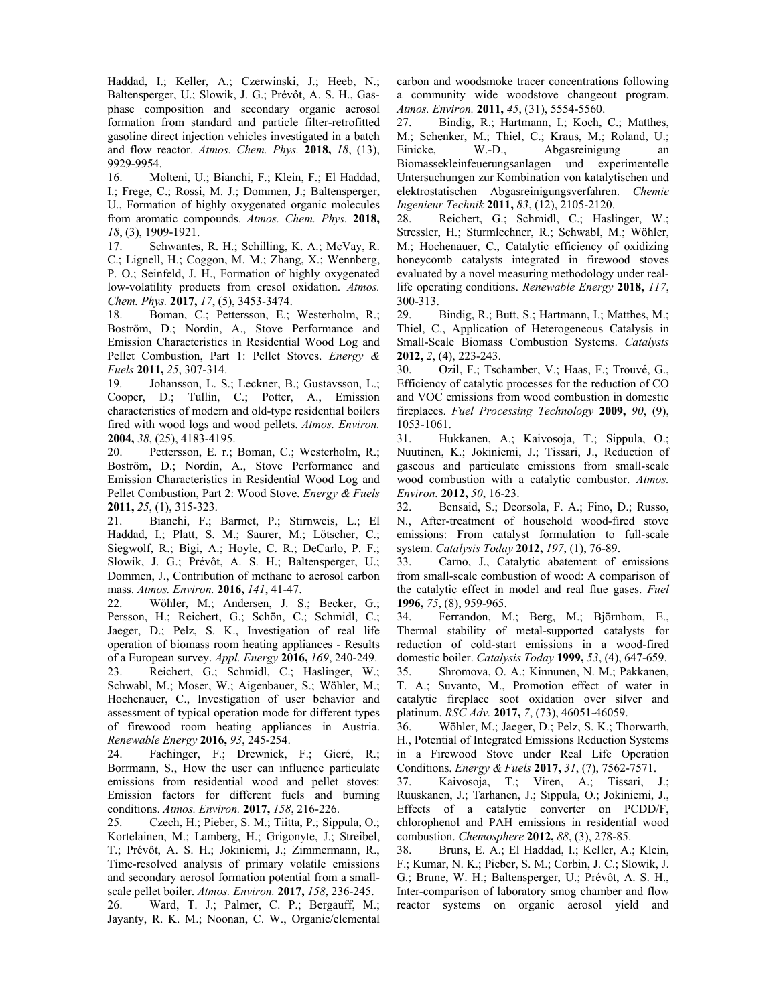Haddad, I.; Keller, A.; Czerwinski, J.; Heeb, N.; Baltensperger, U.; Slowik, J. G.; Prévôt, A. S. H., Gasphase composition and secondary organic aerosol formation from standard and particle filter-retrofitted gasoline direct injection vehicles investigated in a batch and flow reactor. *Atmos. Chem. Phys.* **2018,** *18*, (13), 9929-9954.

16. Molteni, U.; Bianchi, F.; Klein, F.; El Haddad, I.; Frege, C.; Rossi, M. J.; Dommen, J.; Baltensperger, U., Formation of highly oxygenated organic molecules from aromatic compounds. *Atmos. Chem. Phys.* **2018,** *18*, (3), 1909-1921.

17. Schwantes, R. H.; Schilling, K. A.; McVay, R. C.; Lignell, H.; Coggon, M. M.; Zhang, X.; Wennberg, P. O.; Seinfeld, J. H., Formation of highly oxygenated low-volatility products from cresol oxidation. *Atmos. Chem. Phys.* **2017,** *17*, (5), 3453-3474.

18. Boman, C.; Pettersson, E.; Westerholm, R.; Boström, D.; Nordin, A., Stove Performance and Emission Characteristics in Residential Wood Log and Pellet Combustion, Part 1: Pellet Stoves. *Energy & Fuels* **2011,** *25*, 307-314.

19. Johansson, L. S.; Leckner, B.; Gustavsson, L.; Cooper, D.; Tullin, C.; Potter, A., Emission characteristics of modern and old-type residential boilers fired with wood logs and wood pellets. *Atmos. Environ.*  **2004,** *38*, (25), 4183-4195.

20. Pettersson, E. r.; Boman, C.; Westerholm, R.; Boström, D.; Nordin, A., Stove Performance and Emission Characteristics in Residential Wood Log and Pellet Combustion, Part 2: Wood Stove. *Energy & Fuels*  **2011,** *25*, (1), 315-323.

21. Bianchi, F.; Barmet, P.; Stirnweis, L.; El Haddad, I.; Platt, S. M.; Saurer, M.; Lötscher, C.; Siegwolf, R.; Bigi, A.; Hoyle, C. R.; DeCarlo, P. F.; Slowik, J. G.; Prévôt, A. S. H.; Baltensperger, U.; Dommen, J., Contribution of methane to aerosol carbon mass. *Atmos. Environ.* **2016,** *141*, 41-47.

22. Wöhler, M.; Andersen, J. S.; Becker, G.; Persson, H.; Reichert, G.; Schön, C.; Schmidl, C.; Jaeger, D.; Pelz, S. K., Investigation of real life operation of biomass room heating appliances - Results of a European survey. *Appl. Energy* **2016,** *169*, 240-249. 23. Reichert, G.; Schmidl, C.; Haslinger, W.; Schwabl, M.; Moser, W.; Aigenbauer, S.; Wöhler, M.; Hochenauer, C., Investigation of user behavior and assessment of typical operation mode for different types of firewood room heating appliances in Austria. *Renewable Energy* **2016,** *93*, 245-254.

24. Fachinger, F.; Drewnick, F.; Gieré, R.; Borrmann, S., How the user can influence particulate emissions from residential wood and pellet stoves: Emission factors for different fuels and burning conditions. *Atmos. Environ.* **2017,** *158*, 216-226.

25. Czech, H.; Pieber, S. M.; Tiitta, P.; Sippula, O.; Kortelainen, M.; Lamberg, H.; Grigonyte, J.; Streibel, T.; Prévôt, A. S. H.; Jokiniemi, J.; Zimmermann, R., Time-resolved analysis of primary volatile emissions and secondary aerosol formation potential from a smallscale pellet boiler. *Atmos. Environ.* **2017,** *158*, 236-245.

26. Ward, T. J.; Palmer, C. P.; Bergauff, M.; Jayanty, R. K. M.; Noonan, C. W., Organic/elemental carbon and woodsmoke tracer concentrations following a community wide woodstove changeout program. *Atmos. Environ.* **2011,** *45*, (31), 5554-5560.

27. Bindig, R.; Hartmann, I.; Koch, C.; Matthes, M.; Schenker, M.; Thiel, C.; Kraus, M.; Roland, U.; Einicke, W.-D., Abgasreinigung an Biomassekleinfeuerungsanlagen und experimentelle Untersuchungen zur Kombination von katalytischen und elektrostatischen Abgasreinigungsverfahren. *Chemie Ingenieur Technik* **2011,** *83*, (12), 2105-2120.

28. Reichert, G.; Schmidl, C.; Haslinger, W.; Stressler, H.; Sturmlechner, R.; Schwabl, M.; Wöhler, M.; Hochenauer, C., Catalytic efficiency of oxidizing honeycomb catalysts integrated in firewood stoves evaluated by a novel measuring methodology under reallife operating conditions. *Renewable Energy* **2018,** *117*, 300-313.

29. Bindig, R.; Butt, S.; Hartmann, I.; Matthes, M.; Thiel, C., Application of Heterogeneous Catalysis in Small-Scale Biomass Combustion Systems. *Catalysts*  **2012,** *2*, (4), 223-243.

30. Ozil, F.; Tschamber, V.; Haas, F.; Trouvé, G., Efficiency of catalytic processes for the reduction of CO and VOC emissions from wood combustion in domestic fireplaces. *Fuel Processing Technology* **2009,** *90*, (9), 1053-1061.

31. Hukkanen, A.; Kaivosoja, T.; Sippula, O.; Nuutinen, K.; Jokiniemi, J.; Tissari, J., Reduction of gaseous and particulate emissions from small-scale wood combustion with a catalytic combustor. *Atmos. Environ.* **2012,** *50*, 16-23.

32. Bensaid, S.; Deorsola, F. A.; Fino, D.; Russo, N., After-treatment of household wood-fired stove emissions: From catalyst formulation to full-scale system. *Catalysis Today* **2012,** *197*, (1), 76-89.

33. Carno, J., Catalytic abatement of emissions from small-scale combustion of wood: A comparison of the catalytic effect in model and real flue gases. *Fuel*  **1996,** *75*, (8), 959-965.

34. Ferrandon, M.; Berg, M.; Björnbom, E., Thermal stability of metal-supported catalysts for reduction of cold-start emissions in a wood-fired domestic boiler. *Catalysis Today* **1999,** *53*, (4), 647-659.

35. Shromova, O. A.; Kinnunen, N. M.; Pakkanen, T. A.; Suvanto, M., Promotion effect of water in catalytic fireplace soot oxidation over silver and platinum. *RSC Adv.* **2017,** *7*, (73), 46051-46059.

36. Wöhler, M.; Jaeger, D.; Pelz, S. K.; Thorwarth, H., Potential of Integrated Emissions Reduction Systems in a Firewood Stove under Real Life Operation Conditions. *Energy & Fuels* **2017,** *31*, (7), 7562-7571.

37. Kaivosoja, T.; Viren, A.; Tissari, J.; Ruuskanen, J.; Tarhanen, J.; Sippula, O.; Jokiniemi, J., Effects of a catalytic converter on PCDD/F, chlorophenol and PAH emissions in residential wood combustion. *Chemosphere* **2012,** *88*, (3), 278-85.

38. Bruns, E. A.; El Haddad, I.; Keller, A.; Klein, F.; Kumar, N. K.; Pieber, S. M.; Corbin, J. C.; Slowik, J. G.; Brune, W. H.; Baltensperger, U.; Prévôt, A. S. H., Inter-comparison of laboratory smog chamber and flow reactor systems on organic aerosol yield and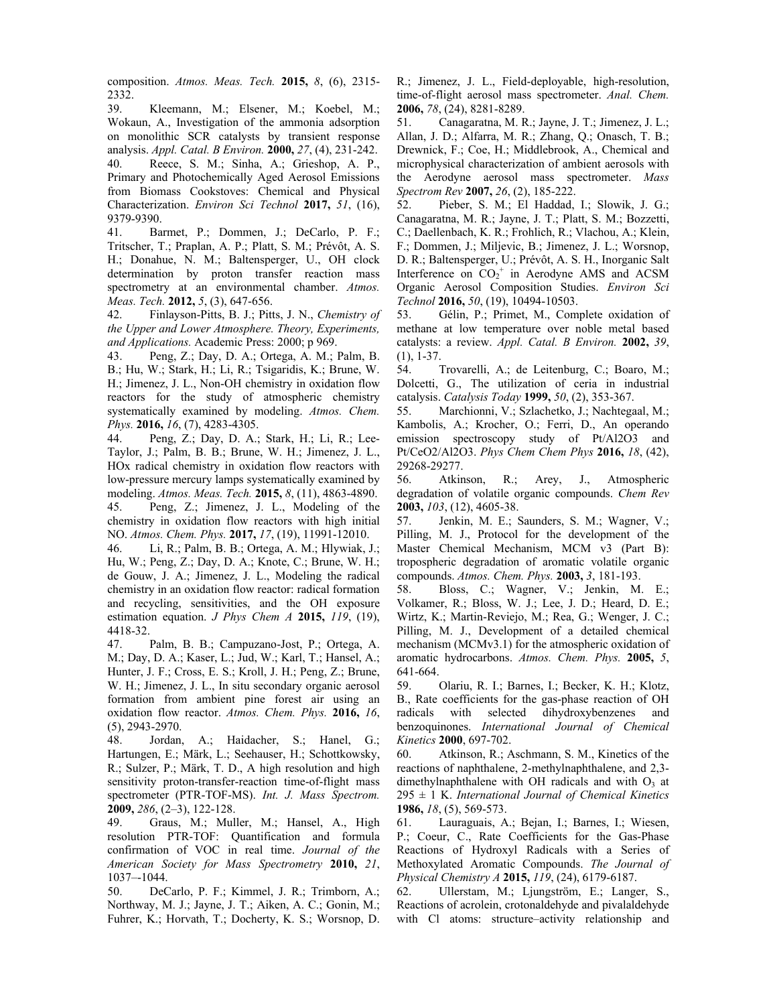composition. *Atmos. Meas. Tech.* **2015,** *8*, (6), 2315- 2332.

39. Kleemann, M.; Elsener, M.; Koebel, M.; Wokaun, A., Investigation of the ammonia adsorption on monolithic SCR catalysts by transient response analysis. *Appl. Catal. B Environ.* **2000,** *27*, (4), 231-242. 40. Reece, S. M.; Sinha, A.; Grieshop, A. P., Primary and Photochemically Aged Aerosol Emissions from Biomass Cookstoves: Chemical and Physical Characterization. *Environ Sci Technol* **2017,** *51*, (16), 9379-9390.

41. Barmet, P.; Dommen, J.; DeCarlo, P. F.; Tritscher, T.; Praplan, A. P.; Platt, S. M.; Prévôt, A. S. H.; Donahue, N. M.; Baltensperger, U., OH clock determination by proton transfer reaction mass spectrometry at an environmental chamber. *Atmos. Meas. Tech.* **2012,** *5*, (3), 647-656.

42. Finlayson-Pitts, B. J.; Pitts, J. N., *Chemistry of the Upper and Lower Atmosphere. Theory, Experiments, and Applications.* Academic Press: 2000; p 969.

43. Peng, Z.; Day, D. A.; Ortega, A. M.; Palm, B. B.; Hu, W.; Stark, H.; Li, R.; Tsigaridis, K.; Brune, W. H.; Jimenez, J. L., Non-OH chemistry in oxidation flow reactors for the study of atmospheric chemistry systematically examined by modeling. *Atmos. Chem. Phys.* **2016,** *16*, (7), 4283-4305.

44. Peng, Z.; Day, D. A.; Stark, H.; Li, R.; Lee-Taylor, J.; Palm, B. B.; Brune, W. H.; Jimenez, J. L., HOx radical chemistry in oxidation flow reactors with low-pressure mercury lamps systematically examined by modeling. *Atmos. Meas. Tech.* **2015,** *8*, (11), 4863-4890.

45. Peng, Z.; Jimenez, J. L., Modeling of the chemistry in oxidation flow reactors with high initial NO. *Atmos. Chem. Phys.* **2017,** *17*, (19), 11991-12010.

46. Li, R.; Palm, B. B.; Ortega, A. M.; Hlywiak, J.; Hu, W.; Peng, Z.; Day, D. A.; Knote, C.; Brune, W. H.; de Gouw, J. A.; Jimenez, J. L., Modeling the radical chemistry in an oxidation flow reactor: radical formation and recycling, sensitivities, and the OH exposure estimation equation. *J Phys Chem A* **2015,** *119*, (19), 4418-32.

47. Palm, B. B.; Campuzano-Jost, P.; Ortega, A. M.; Day, D. A.; Kaser, L.; Jud, W.; Karl, T.; Hansel, A.; Hunter, J. F.; Cross, E. S.; Kroll, J. H.; Peng, Z.; Brune, W. H.; Jimenez, J. L., In situ secondary organic aerosol formation from ambient pine forest air using an oxidation flow reactor. *Atmos. Chem. Phys.* **2016,** *16*, (5), 2943-2970.

48. Jordan, A.; Haidacher, S.; Hanel, G.; Hartungen, E.; Märk, L.; Seehauser, H.; Schottkowsky, R.; Sulzer, P.; Märk, T. D., A high resolution and high sensitivity proton-transfer-reaction time-of-flight mass spectrometer (PTR-TOF-MS). *Int. J. Mass Spectrom.*  **2009,** *286*, (2–3), 122-128.

49. Graus, M.; Muller, M.; Hansel, A., High resolution PTR-TOF: Quantification and formula confirmation of VOC in real time. *Journal of the American Society for Mass Spectrometry* **2010,** *21*, 1037–-1044.

50. DeCarlo, P. F.; Kimmel, J. R.; Trimborn, A.; Northway, M. J.; Jayne, J. T.; Aiken, A. C.; Gonin, M.; Fuhrer, K.; Horvath, T.; Docherty, K. S.; Worsnop, D. R.; Jimenez, J. L., Field-deployable, high-resolution, time-of-flight aerosol mass spectrometer. *Anal. Chem.*  **2006,** *78*, (24), 8281-8289.

51. Canagaratna, M. R.; Jayne, J. T.; Jimenez, J. L.; Allan, J. D.; Alfarra, M. R.; Zhang, Q.; Onasch, T. B.; Drewnick, F.; Coe, H.; Middlebrook, A., Chemical and microphysical characterization of ambient aerosols with the Aerodyne aerosol mass spectrometer. *Mass Spectrom Rev* **2007,** *26*, (2), 185-222.

52. Pieber, S. M.; El Haddad, I.; Slowik, J. G.; Canagaratna, M. R.; Jayne, J. T.; Platt, S. M.; Bozzetti, C.; Daellenbach, K. R.; Frohlich, R.; Vlachou, A.; Klein, F.; Dommen, J.; Miljevic, B.; Jimenez, J. L.; Worsnop, D. R.; Baltensperger, U.; Prévôt, A. S. H., Inorganic Salt Interference on  $CO_2^+$  in Aerodyne AMS and ACSM Organic Aerosol Composition Studies. *Environ Sci Technol* **2016,** *50*, (19), 10494-10503.

53. Gélin, P.; Primet, M., Complete oxidation of methane at low temperature over noble metal based catalysts: a review. *Appl. Catal. B Environ.* **2002,** *39*,  $(1), 1-37.$ <br>54.  $1$ 

Trovarelli, A.; de Leitenburg, C.; Boaro, M.; Dolcetti, G., The utilization of ceria in industrial catalysis. *Catalysis Today* **1999,** *50*, (2), 353-367.

55. Marchionni, V.; Szlachetko, J.; Nachtegaal, M.; Kambolis, A.; Krocher, O.; Ferri, D., An operando emission spectroscopy study of Pt/Al2O3 and Pt/CeO2/Al2O3. *Phys Chem Chem Phys* **2016,** *18*, (42), 29268-29277.

56. Atkinson, R.; Arey, J., Atmospheric degradation of volatile organic compounds. *Chem Rev*  **2003,** *103*, (12), 4605-38.

57. Jenkin, M. E.; Saunders, S. M.; Wagner, V.; Pilling, M. J., Protocol for the development of the Master Chemical Mechanism, MCM v3 (Part B): tropospheric degradation of aromatic volatile organic compounds. *Atmos. Chem. Phys.* **2003,** *3*, 181-193.

58. Bloss, C.; Wagner, V.; Jenkin, M. E.; Volkamer, R.; Bloss, W. J.; Lee, J. D.; Heard, D. E.; Wirtz, K.; Martin-Reviejo, M.; Rea, G.; Wenger, J. C.; Pilling, M. J., Development of a detailed chemical mechanism (MCMv3.1) for the atmospheric oxidation of aromatic hydrocarbons. *Atmos. Chem. Phys.* **2005,** *5*, 641-664.

59. Olariu, R. I.; Barnes, I.; Becker, K. H.; Klotz, B., Rate coefficients for the gas-phase reaction of OH radicals with selected dihydroxybenzenes and benzoquinones. *International Journal of Chemical Kinetics* **2000**, 697-702.

60. Atkinson, R.; Aschmann, S. M., Kinetics of the reactions of naphthalene, 2-methylnaphthalene, and 2,3 dimethylnaphthalene with OH radicals and with  $O<sub>3</sub>$  at 295 ± 1 K. *International Journal of Chemical Kinetics*  **1986,** *18*, (5), 569-573.

61. Lauraguais, A.; Bejan, I.; Barnes, I.; Wiesen, P.; Coeur, C., Rate Coefficients for the Gas-Phase Reactions of Hydroxyl Radicals with a Series of Methoxylated Aromatic Compounds. *The Journal of Physical Chemistry A* **2015,** *119*, (24), 6179-6187.

62. Ullerstam, M.; Ljungström, E.; Langer, S., Reactions of acrolein, crotonaldehyde and pivalaldehyde with Cl atoms: structure–activity relationship and